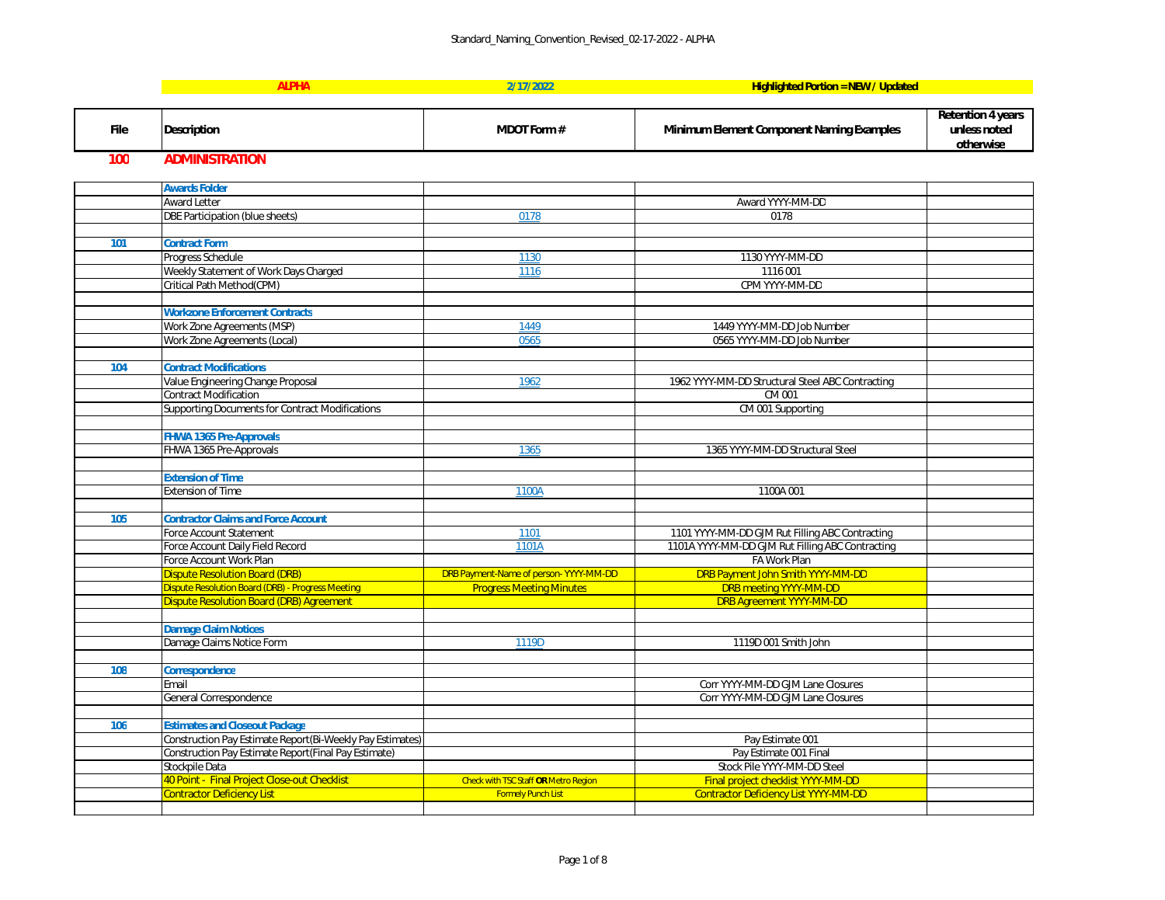**Retention 4 years unless noted otherwise**

| tracting                |  |
|-------------------------|--|
|                         |  |
|                         |  |
|                         |  |
|                         |  |
|                         |  |
|                         |  |
|                         |  |
|                         |  |
|                         |  |
|                         |  |
|                         |  |
| racting<br>tracting     |  |
|                         |  |
| $\overline{\mathsf{D}}$ |  |
|                         |  |
|                         |  |
|                         |  |
|                         |  |
|                         |  |
|                         |  |
|                         |  |
|                         |  |
|                         |  |
|                         |  |
|                         |  |
|                         |  |
|                         |  |
|                         |  |
|                         |  |
|                         |  |
|                         |  |
|                         |  |

|             | <b>ALPHA</b>                                                                                      | 2/17/2022                                                                | <b>Highlighted Portion = NEW / Updated</b>                       |
|-------------|---------------------------------------------------------------------------------------------------|--------------------------------------------------------------------------|------------------------------------------------------------------|
|             |                                                                                                   |                                                                          |                                                                  |
| <b>File</b> | <b>Description</b>                                                                                | <b>MDOT Form#</b>                                                        | <b>Minimum Element Component Naming Examples</b>                 |
| 100         | <b>ADMINISTRATION</b>                                                                             |                                                                          |                                                                  |
|             | <b>Awards Folder</b>                                                                              |                                                                          |                                                                  |
|             | <b>Award Letter</b>                                                                               |                                                                          | Award YYYY-MM-DD                                                 |
|             | DBE Participation (blue sheets)                                                                   | 0178                                                                     | 0178                                                             |
|             |                                                                                                   |                                                                          |                                                                  |
| 101         | <b>Contract Form</b>                                                                              |                                                                          |                                                                  |
|             | Progress Schedule                                                                                 | 1130                                                                     | 1130 YYYY-MM-DD                                                  |
|             | Weekly Statement of Work Days Charged                                                             | 1116                                                                     | 1116 001                                                         |
|             | Critical Path Method(CPM)                                                                         |                                                                          | CPM YYYY-MM-DD                                                   |
|             |                                                                                                   |                                                                          |                                                                  |
|             | <b>Workzone Enforcement Contracts</b>                                                             |                                                                          |                                                                  |
|             | Work Zone Agreements (MSP)                                                                        | 1449                                                                     | 1449 YYYY-MM-DD Job Number                                       |
|             | Work Zone Agreements (Local)                                                                      | 0565                                                                     | 0565 YYYY-MM-DD Job Number                                       |
| 104         | <b>Contract Modifications</b>                                                                     |                                                                          |                                                                  |
|             | Value Engineering Change Proposal                                                                 | 1962                                                                     | 1962 YYYY-MM-DD Structural Steel ABC Contracting                 |
|             | <b>Contract Modification</b>                                                                      |                                                                          | CM 001                                                           |
|             | <b>Supporting Documents for Contract Modifications</b>                                            |                                                                          | CM 001 Supporting                                                |
|             |                                                                                                   |                                                                          |                                                                  |
|             | <b>FHWA 1365 Pre-Approvals</b>                                                                    |                                                                          |                                                                  |
|             | FHWA 1365 Pre-Approvals                                                                           | 1365                                                                     | 1365 YYYY-MM-DD Structural Steel                                 |
|             |                                                                                                   |                                                                          |                                                                  |
|             | <b>Extension of Time</b>                                                                          |                                                                          |                                                                  |
|             | <b>Extension of Time</b>                                                                          | 1100A                                                                    | 1100A 001                                                        |
|             |                                                                                                   |                                                                          |                                                                  |
| 105         | <b>Contractor Claims and Force Account</b>                                                        |                                                                          |                                                                  |
|             | Force Account Statement                                                                           | 1101                                                                     | 1101 YYYY-MM-DD GJM Rut Filling ABC Contracting                  |
|             | Force Account Daily Field Record                                                                  | 1101A                                                                    | 1101A YYYY-MM-DD GJM Rut Filling ABC Contracting                 |
|             | Force Account Work Plan                                                                           |                                                                          | FA Work Plan                                                     |
|             | <b>Dispute Resolution Board (DRB)</b><br><b>Dispute Resolution Board (DRB) - Progress Meeting</b> | DRB Payment-Name of person-YYYY-MM-DD<br><b>Progress Meeting Minutes</b> | DRB Payment John Smith YYYY-MM-DD                                |
|             | <b>Dispute Resolution Board (DRB) Agreement</b>                                                   |                                                                          | <b>DRB meeting YYYY-MM-DD</b><br><b>DRB Agreement YYYY-MM-DD</b> |
|             |                                                                                                   |                                                                          |                                                                  |
|             | <b>Damage Claim Notices</b>                                                                       |                                                                          |                                                                  |
|             | Damage Claims Notice Form                                                                         | 1119D                                                                    | 1119D 001 Smith John                                             |
|             |                                                                                                   |                                                                          |                                                                  |
| 108         | <b>Correspondence</b>                                                                             |                                                                          |                                                                  |
|             | Email                                                                                             |                                                                          | Corr YYYY-MM-DD GJM Lane Closures                                |
|             | <b>General Correspondence</b>                                                                     |                                                                          | Corr YYYY-MM-DD GJM Lane Closures                                |
|             |                                                                                                   |                                                                          |                                                                  |
| 106         | <b>Estimates and Closeout Package</b>                                                             |                                                                          |                                                                  |
|             | Construction Pay Estimate Report(Bi-Weekly Pay Estimates)                                         |                                                                          | Pay Estimate 001                                                 |
|             | Construction Pay Estimate Report(Final Pay Estimate)                                              |                                                                          | Pay Estimate 001 Final                                           |
|             | Stockpile Data                                                                                    |                                                                          | Stock Pile YYYY-MM-DD Steel                                      |
|             | 40 Point - Final Project Close-out Checklist                                                      | Check with TSC Staff OR Metro Region                                     | Final project checklist YYYY-MM-DD                               |
|             | <b>Contractor Deficiency List</b>                                                                 | <b>Formely Punch List</b>                                                | <b>Contractor Deficiency List YYYY-MM-DD</b>                     |
|             |                                                                                                   |                                                                          |                                                                  |

| W/Updated |
|-----------|
|-----------|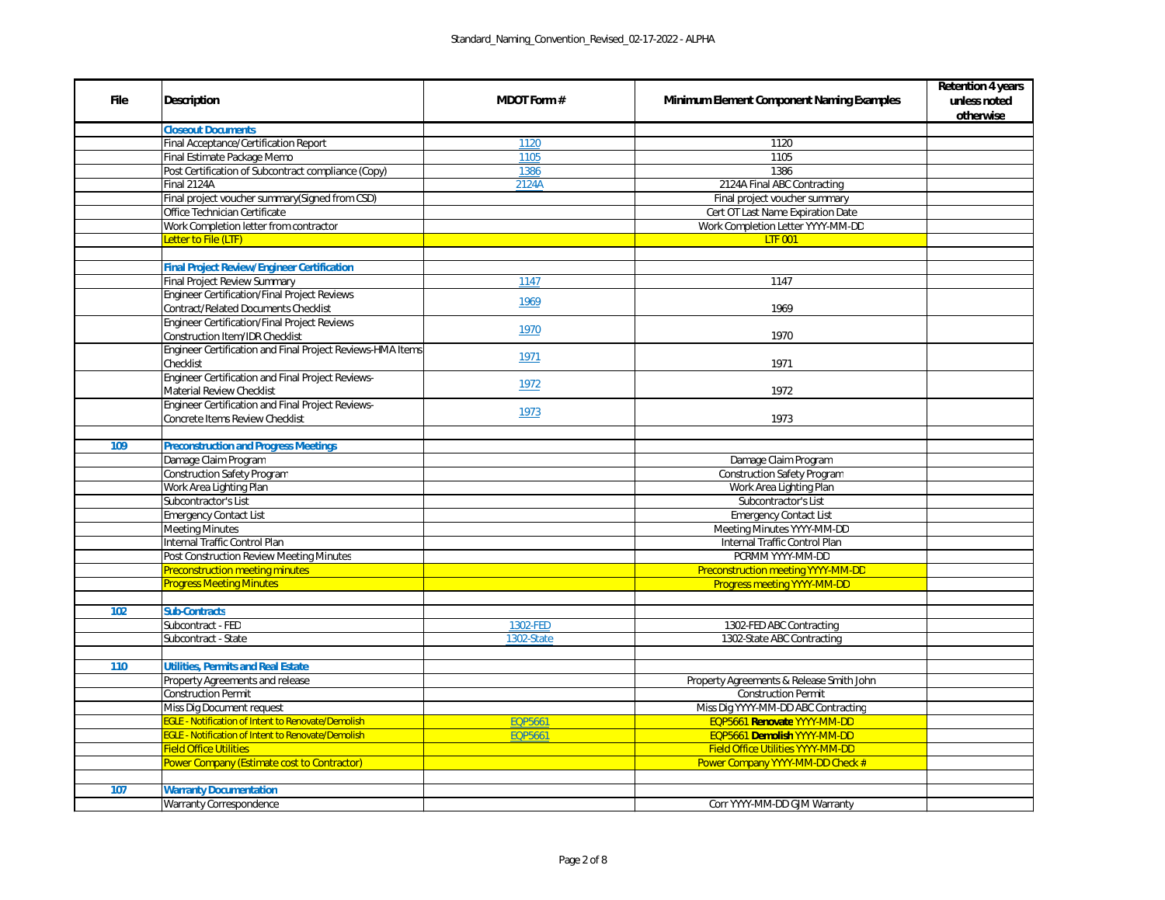|             |                                                            |                    |                                                  | <b>Retention 4 years</b>  |
|-------------|------------------------------------------------------------|--------------------|--------------------------------------------------|---------------------------|
| <b>File</b> | <b>Description</b>                                         | <b>MDOT Form #</b> | <b>Minimum Element Component Naming Examples</b> | unless noted<br>otherwise |
|             | <b>Closeout Documents</b>                                  |                    |                                                  |                           |
|             | Final Acceptance/Certification Report                      | 1120               | 1120                                             |                           |
|             | Final Estimate Package Memo                                | 1105               | 1105                                             |                           |
|             | Post Certification of Subcontract compliance (Copy)        | 1386               | 1386                                             |                           |
|             | Final 2124A                                                | 2124A              | 2124A Final ABC Contracting                      |                           |
|             | Final project voucher summary(Signed from CSD)             |                    | Final project voucher summary                    |                           |
|             | Office Technician Certificate                              |                    | Cert OT Last Name Expiration Date                |                           |
|             | Work Completion letter from contractor                     |                    | Work Completion Letter YYYY-MM-DD                |                           |
|             | Letter to File (LTF)                                       |                    | <b>LTF 001</b>                                   |                           |
|             |                                                            |                    |                                                  |                           |
|             | <b>Final Project Review/Engineer Certification</b>         |                    |                                                  |                           |
|             | Final Project Review Summary                               | 1147               | 1147                                             |                           |
|             | Engineer Certification/Final Project Reviews               | 1969               |                                                  |                           |
|             | <b>Contract/Related Documents Checklist</b>                |                    | 1969                                             |                           |
|             | Engineer Certification/Final Project Reviews               |                    |                                                  |                           |
|             | Construction Item/IDR Checklist                            | 1970               | 1970                                             |                           |
|             | Engineer Certification and Final Project Reviews-HMA Items | 1971               |                                                  |                           |
|             | Checklist                                                  |                    | 1971                                             |                           |
|             | <b>Engineer Certification and Final Project Reviews-</b>   |                    |                                                  |                           |
|             | <b>Material Review Checklist</b>                           | 1972               | 1972                                             |                           |
|             | Engineer Certification and Final Project Reviews-          |                    |                                                  |                           |
|             | Concrete Items Review Checklist                            | 1973               | 1973                                             |                           |
|             |                                                            |                    |                                                  |                           |
| 109         | <b>Preconstruction and Progress Meetings</b>               |                    |                                                  |                           |
|             | Damage Claim Program                                       |                    | Damage Claim Program                             |                           |
|             | Construction Safety Program                                |                    | <b>Construction Safety Program</b>               |                           |
|             | Work Area Lighting Plan                                    |                    | Work Area Lighting Plan                          |                           |
|             | Subcontractor's List                                       |                    | Subcontractor's List                             |                           |
|             | Emergency Contact List                                     |                    | <b>Emergency Contact List</b>                    |                           |
|             | <b>Meeting Minutes</b>                                     |                    | Meeting Minutes YYYY-MM-DD                       |                           |
|             | Internal Traffic Control Plan                              |                    | Internal Traffic Control Plan                    |                           |
|             | Post Construction Review Meeting Minutes                   |                    | PCRMM YYYY-MM-DD                                 |                           |
|             | <b>Preconstruction meeting minutes</b>                     |                    | Preconstruction meeting YYYY-MM-DD               |                           |
|             | <b>Progress Meeting Minutes</b>                            |                    | <b>Progress meeting YYYY-MM-DD</b>               |                           |
|             |                                                            |                    |                                                  |                           |
| 102         | <b>Sub-Contracts</b>                                       |                    |                                                  |                           |
|             | Subcontract - FED                                          | 1302-FED           | 1302-FED ABC Contracting                         |                           |
|             | Subcontract - State                                        | 1302-State         | 1302-State ABC Contracting                       |                           |
|             |                                                            |                    |                                                  |                           |
| 110         | <b>Utilities, Permits and Real Estate</b>                  |                    |                                                  |                           |
|             | Property Agreements and release                            |                    | Property Agreements & Release Smith John         |                           |
|             | <b>Construction Permit</b>                                 |                    | <b>Construction Permit</b>                       |                           |
|             | Miss Dig Document request                                  |                    | Miss Dig YYYY-MM-DD ABC Contracting              |                           |
|             | <b>EGLE - Notification of Intent to Renovate/Demolish</b>  | <b>EQP5661</b>     | EQP5661 Renovate YYYY-MM-DD                      |                           |
|             | EGLE - Notification of Intent to Renovate/Demolish         | <b>EQP5661</b>     | EQP5661 Demolish YYYY-MM-DD                      |                           |
|             | <b>Field Office Utilities</b>                              |                    | <b>Field Office Utilities YYYY-MM-DD</b>         |                           |
|             | <b>Power Company (Estimate cost to Contractor)</b>         |                    | Power Company YYYY-MM-DD Check #                 |                           |
|             |                                                            |                    |                                                  |                           |
| 107         | <b>Warranty Documentation</b>                              |                    |                                                  |                           |
|             | <b>Warranty Correspondence</b>                             |                    | Corr YYYY-MM-DD GJM Warranty                     |                           |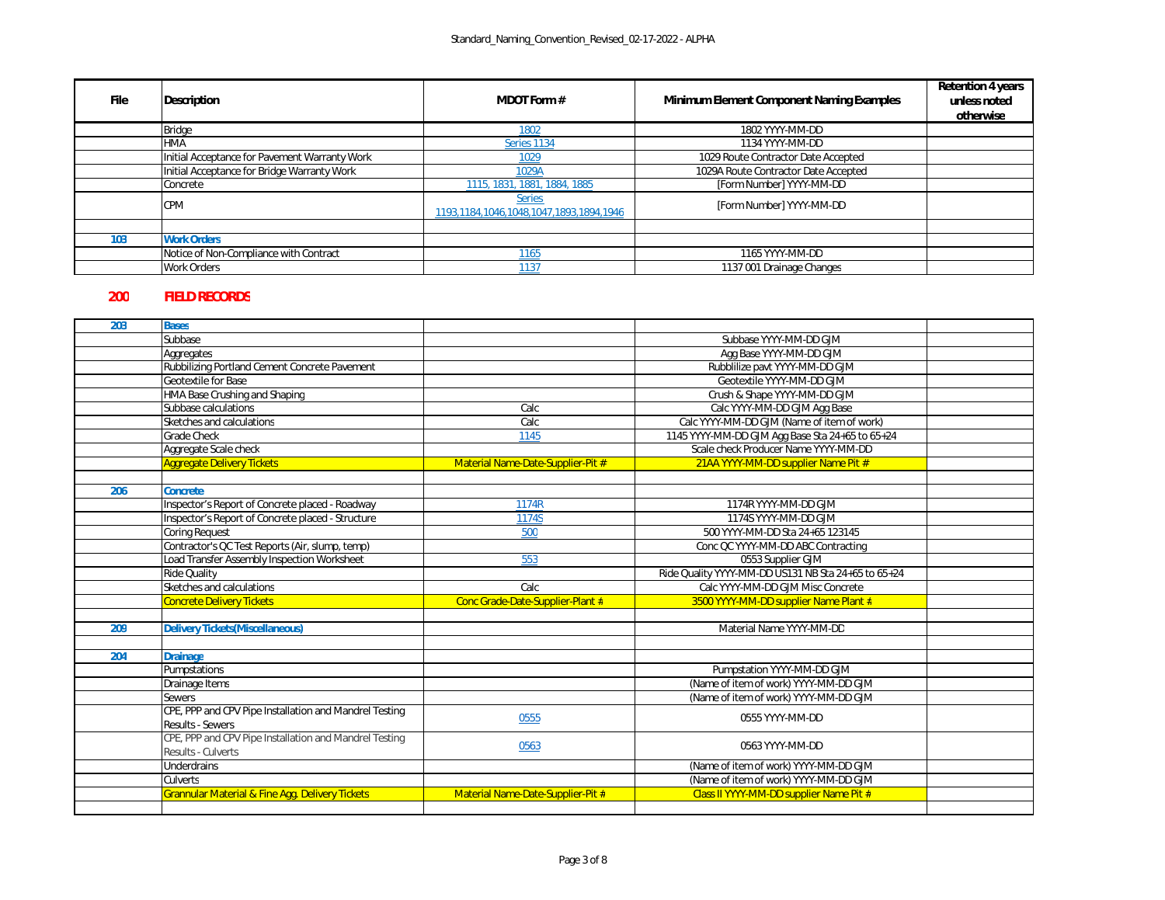| <b>File</b> | <b>Description</b>                            | <b>MDOT Form #</b>                                       | <b>Minimum Element Component Naming Examples</b> | <b>Retention 4 years</b><br>unless noted<br>otherwise |
|-------------|-----------------------------------------------|----------------------------------------------------------|--------------------------------------------------|-------------------------------------------------------|
|             | <b>Bridge</b>                                 | 1802                                                     | 1802 YYYY-MM-DD                                  |                                                       |
|             | HMA                                           | Series 1134                                              | 1134 YYYY-MM-DD                                  |                                                       |
|             | Initial Acceptance for Pavement Warranty Work | 1029                                                     | 1029 Route Contractor Date Accepted              |                                                       |
|             | Initial Acceptance for Bridge Warranty Work   | 1029A                                                    | 1029A Route Contractor Date Accepted             |                                                       |
|             | Concrete                                      | 1115, 1831, 1881, 1884, 1885                             | [Form Number] YYYY-MM-DD                         |                                                       |
|             | <b>CPM</b>                                    | <b>Series</b><br>1193,1184,1046,1048,1047,1893,1894,1946 | [Form Number] YYYY-MM-DD                         |                                                       |
|             |                                               |                                                          |                                                  |                                                       |
| 103         | <b>Work Orders</b>                            |                                                          |                                                  |                                                       |
|             | Notice of Non-Compliance with Contract        | 1165                                                     | 1165 YYYY-MM-DD                                  |                                                       |
|             | <b>Work Orders</b>                            | 1137                                                     | 1137 001 Drainage Changes                        |                                                       |

## **200 FIELD RECORDS**

| 203 | <b>Bases</b>                                               |                                   |                                                     |  |
|-----|------------------------------------------------------------|-----------------------------------|-----------------------------------------------------|--|
|     | Subbase                                                    |                                   | Subbase YYYY-MM-DD GJM                              |  |
|     | Aggregates                                                 |                                   | Agg Base YYYY-MM-DD GJM                             |  |
|     | Rubbilizing Portland Cement Concrete Pavement              |                                   | Rubblilize pavt YYYY-MM-DD GJM                      |  |
|     | <b>Geotextile for Base</b>                                 |                                   | Geotextile YYYY-MM-DD GJM                           |  |
|     | HMA Base Crushing and Shaping                              |                                   | Crush & Shape YYYY-MM-DD GJM                        |  |
|     | Subbase calculations                                       | Calc                              | Calc YYYY-MM-DD GJM Agg Base                        |  |
|     | Sketches and calculations                                  | Calc                              | Calc YYYY-MM-DD GJM (Name of item of work)          |  |
|     | <b>Grade Check</b>                                         | 1145                              | 1145 YYYY-MM-DD GJM Agg Base Sta 24+65 to 65+24     |  |
|     | Aggregate Scale check                                      |                                   | Scale check Producer Name YYYY-MM-DD                |  |
|     | <b>Aggregate Delivery Tickets</b>                          | Material Name-Date-Supplier-Pit # | 21AA YYYY-MM-DD supplier Name Pit #                 |  |
|     |                                                            |                                   |                                                     |  |
| 206 | <b>Concrete</b>                                            |                                   |                                                     |  |
|     | Inspector's Report of Concrete placed - Roadway            | 1174R                             | 1174R YYYY-MM-DD GJM                                |  |
|     | Inspector's Report of Concrete placed - Structure          | 1174S                             | 1174S YYYY-MM-DD GJM                                |  |
|     | <b>Coring Request</b>                                      | 500                               | 500 YYYY-MM-DD Sta 24+65 123145                     |  |
|     | Contractor's QC Test Reports (Air, slump, temp)            |                                   | Conc QC YYYY-MM-DD ABC Contracting                  |  |
|     | Load Transfer Assembly Inspection Worksheet                | 553                               | 0553 Supplier GJM                                   |  |
|     | <b>Ride Quality</b>                                        |                                   | Ride Quality YYYY-MM-DD US131 NB Sta 24+65 to 65+24 |  |
|     | Sketches and calculations                                  | Calc                              | Calc YYYY-MM-DD GJM Misc Concrete                   |  |
|     | <b>Concrete Delivery Tickets</b>                           | Conc Grade-Date-Supplier-Plant #  | 3500 YYYY-MM-DD supplier Name Plant #               |  |
|     |                                                            |                                   |                                                     |  |
| 209 | <b>Delivery Tickets (Miscellaneous)</b>                    |                                   | Material Name YYYY-MM-DD                            |  |
|     |                                                            |                                   |                                                     |  |
| 204 | <b>Drainage</b>                                            |                                   |                                                     |  |
|     | Pumpstations                                               |                                   | Pumpstation YYYY-MM-DD GJM                          |  |
|     | Drainage Items                                             |                                   | (Name of item of work) YYYY-MM-DD GJM               |  |
|     | <b>Sewers</b>                                              |                                   | (Name of item of work) YYYY-MM-DD GJM               |  |
|     | CPE, PPP and CPV Pipe Installation and Mandrel Testing     | 0555                              | 0555 YYYY-MM-DD                                     |  |
|     | <b>Results - Sewers</b>                                    |                                   |                                                     |  |
|     | CPE, PPP and CPV Pipe Installation and Mandrel Testing     | 0563                              | 0563 YYYY-MM-DD                                     |  |
|     | Results - Culverts                                         |                                   |                                                     |  |
|     | <b>Underdrains</b>                                         |                                   | (Name of item of work) YYYY-MM-DD GJM               |  |
|     | <b>Culverts</b>                                            |                                   | (Name of item of work) YYYY-MM-DD GJM               |  |
|     | <b>Grannular Material &amp; Fine Agg. Delivery Tickets</b> | Material Name-Date-Supplier-Pit # | Class II YYYY-MM-DD supplier Name Pit #             |  |
|     |                                                            |                                   |                                                     |  |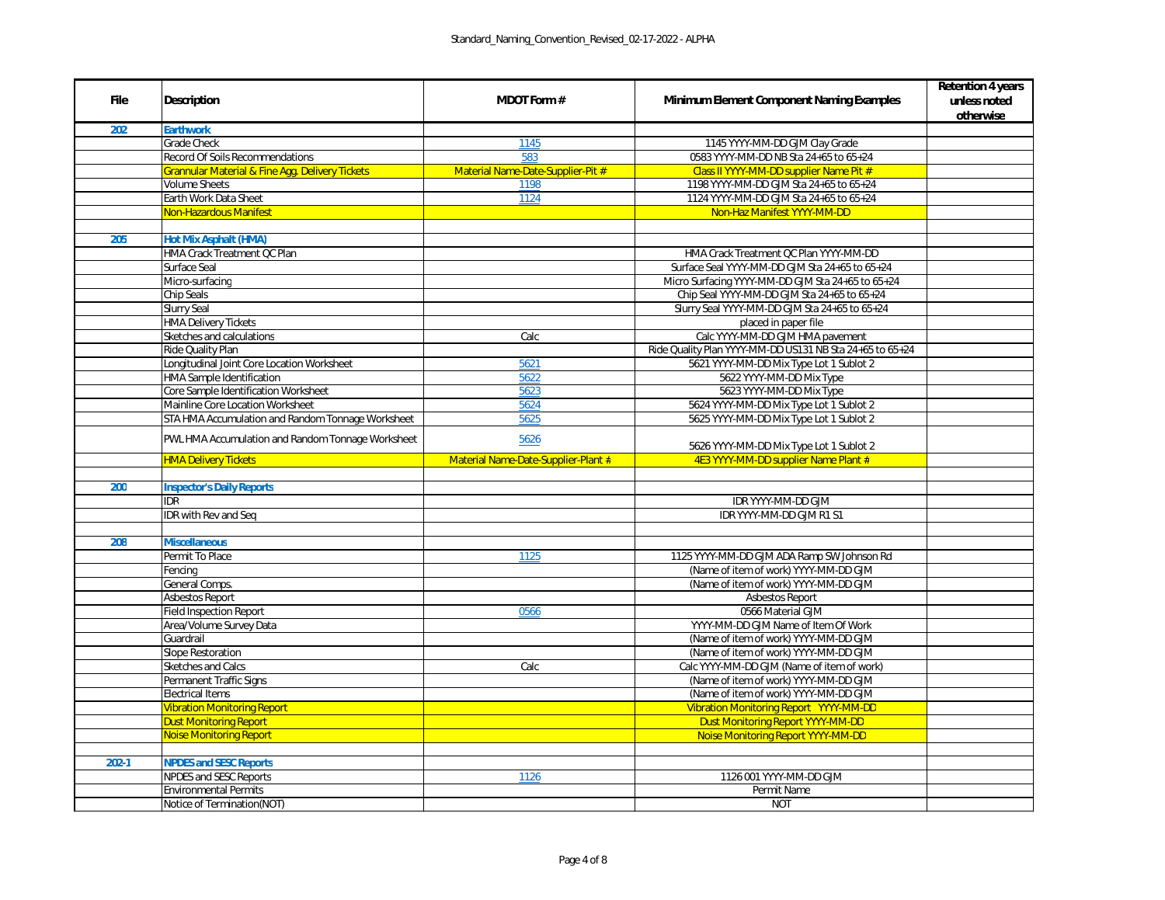| <b>File</b> | <b>Description</b>                                         | <b>MDOT Form #</b>                  | <b>Minimum Element Component Naming Examples</b>         | <b>Retention 4 years</b><br>unless noted<br>otherwise |
|-------------|------------------------------------------------------------|-------------------------------------|----------------------------------------------------------|-------------------------------------------------------|
| 202         | <b>Earthwork</b>                                           |                                     |                                                          |                                                       |
|             | <b>Grade Check</b>                                         | 1145                                | 1145 YYYY-MM-DD GJM Clay Grade                           |                                                       |
|             | <b>Record Of Soils Recommendations</b>                     | 583                                 | 0583 YYYY-MM-DD NB Sta 24+65 to 65+24                    |                                                       |
|             | <b>Grannular Material &amp; Fine Agg. Delivery Tickets</b> | Material Name-Date-Supplier-Pit #   | Class II YYYY-MM-DD supplier Name Pit #                  |                                                       |
|             | <b>Volume Sheets</b>                                       | 1198                                | 1198 YYYY-MM-DD GJM Sta 24+65 to 65+24                   |                                                       |
|             | Earth Work Data Sheet                                      | 1124                                | 1124 YYYY-MM-DD GJM Sta 24+65 to 65+24                   |                                                       |
|             | <b>Non-Hazardous Manifest</b>                              |                                     | Non-Haz Manifest YYYY-MM-DD                              |                                                       |
|             |                                                            |                                     |                                                          |                                                       |
| 205         | <b>Hot Mix Asphalt (HMA)</b>                               |                                     |                                                          |                                                       |
|             | HMA Crack Treatment QC Plan                                |                                     | HMA Crack Treatment QC Plan YYYY-MM-DD                   |                                                       |
|             | Surface Seal                                               |                                     | Surface Seal YYYY-MM-DD GJM Sta 24+65 to 65+24           |                                                       |
|             | Micro-surfacing                                            |                                     | Micro Surfacing YYYY-MM-DD GJM Sta 24+65 to 65+24        |                                                       |
|             | <b>Chip Seals</b>                                          |                                     | Chip Seal YYYY-MM-DD GJM Sta 24+65 to 65+24              |                                                       |
|             | <b>Slurry Seal</b>                                         |                                     | Slurry Seal YYYY-MM-DD GJM Sta 24+65 to 65+24            |                                                       |
|             | <b>HMA Delivery Tickets</b>                                |                                     | placed in paper file                                     |                                                       |
|             | Sketches and calculations                                  | Calc                                | Calc YYYY-MM-DD GJM HMA pavement                         |                                                       |
|             | <b>Ride Quality Plan</b>                                   |                                     | Ride Quality Plan YYYY-MM-DD US131 NB Sta 24+65 to 65+24 |                                                       |
|             | Longitudinal Joint Core Location Worksheet                 | 5621                                | 5621 YYYY-MM-DD Mix Type Lot 1 Sublot 2                  |                                                       |
|             | HMA Sample Identification                                  | 5622                                | 5622 YYYY-MM-DD Mix Type                                 |                                                       |
|             | Core Sample Identification Worksheet                       | 5623                                | 5623 YYYY-MM-DD Mix Type                                 |                                                       |
|             | Mainline Core Location Worksheet                           | 5624                                | 5624 YYYY-MM-DD Mix Type Lot 1 Sublot 2                  |                                                       |
|             | STA HMA Accumulation and Random Tonnage Worksheet          | 5625                                | 5625 YYYY-MM-DD Mix Type Lot 1 Sublot 2                  |                                                       |
|             | PWL HMA Accumulation and Random Tonnage Worksheet          | 5626                                | 5626 YYYY-MM-DD Mix Type Lot 1 Sublot 2                  |                                                       |
|             | <b>HMA Delivery Tickets</b>                                | Material Name-Date-Supplier-Plant # | 4E3 YYYY-MM-DD supplier Name Plant #                     |                                                       |
|             |                                                            |                                     |                                                          |                                                       |
| 200         | <b>Inspector's Daily Reports</b>                           |                                     |                                                          |                                                       |
|             | <b>IDR</b>                                                 |                                     | IDR YYYY-MM-DD GJM                                       |                                                       |
|             | IDR with Rev and Seq                                       |                                     | IDR YYYY-MM-DD GJM R1 S1                                 |                                                       |
|             |                                                            |                                     |                                                          |                                                       |
| 208         | <b>Miscellaneous</b>                                       |                                     |                                                          |                                                       |
|             | Permit To Place                                            | 1125                                | 1125 YYYY-MM-DD GJM ADA Ramp SW Johnson Rd               |                                                       |
|             | Fencing                                                    |                                     | (Name of item of work) YYYY-MM-DD GJM                    |                                                       |
|             | General Comps.                                             |                                     | (Name of item of work) YYYY-MM-DD GJM                    |                                                       |
|             | <b>Asbestos Report</b>                                     |                                     | <b>Asbestos Report</b>                                   |                                                       |
|             | <b>Field Inspection Report</b>                             | 0566                                | 0566 Material GJM                                        |                                                       |
|             | Area/Volume Survey Data                                    |                                     | YYYY-MM-DD GJM Name of Item Of Work                      |                                                       |
|             | Guardrail                                                  |                                     | (Name of item of work) YYYY-MM-DD GJM                    |                                                       |
|             | <b>Slope Restoration</b>                                   |                                     | (Name of item of work) YYYY-MM-DD GJM                    |                                                       |
|             | Sketches and Calcs                                         | Calc                                | Calc YYYY-MM-DD GJM (Name of item of work)               |                                                       |
|             | Permanent Traffic Signs                                    |                                     | (Name of item of work) YYYY-MM-DD GJM                    |                                                       |
|             | <b>Electrical Items</b>                                    |                                     | (Name of item of work) YYYY-MM-DD GJM                    |                                                       |
|             | <b>Vibration Monitoring Report</b>                         |                                     | Vibration Monitoring Report YYYY-MM-DD                   |                                                       |
|             | <b>Dust Monitoring Report</b>                              |                                     | <b>Dust Monitoring Report YYYY-MM-DD</b>                 |                                                       |
|             | <b>Noise Monitoring Report</b>                             |                                     | <b>Noise Monitoring Report YYYY-MM-DD</b>                |                                                       |
|             |                                                            |                                     |                                                          |                                                       |
| $202 - 1$   | <b>NPDES and SESC Reports</b>                              |                                     |                                                          |                                                       |
|             |                                                            | 1126                                | 1126 001 YYYY-MM-DD GJM                                  |                                                       |
|             | NPDES and SESC Reports<br><b>Environmental Permits</b>     |                                     | Permit Name                                              |                                                       |
|             |                                                            |                                     |                                                          |                                                       |
|             | Notice of Termination(NOT)                                 |                                     | <b>NOT</b>                                               |                                                       |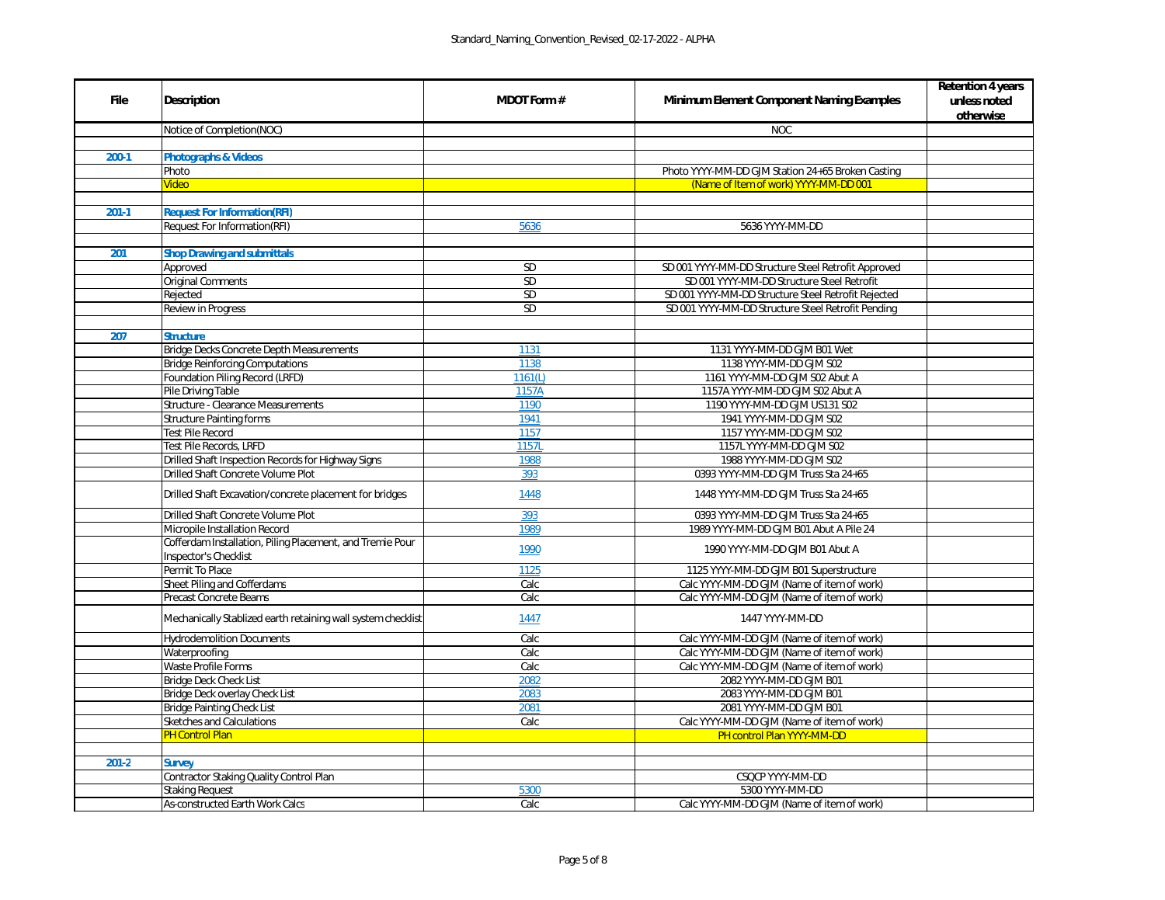|                 | <b>Retention 4 years</b> |
|-----------------|--------------------------|
| kamples         | unless noted             |
|                 | otherwise                |
|                 |                          |
|                 |                          |
|                 |                          |
| n Casting       |                          |
| $\overline{01}$ |                          |
|                 |                          |
|                 |                          |
|                 |                          |
|                 |                          |
|                 |                          |
| <b>pproved</b>  |                          |
| $\overline{of}$ |                          |
| Rejected        |                          |
| Pending         |                          |
|                 |                          |
|                 |                          |
|                 |                          |
|                 |                          |
|                 |                          |
|                 |                          |
|                 |                          |
|                 |                          |
|                 |                          |
|                 |                          |
|                 |                          |
| $\overline{5}$  |                          |
| 5               |                          |
|                 |                          |
| $rac{5}{24}$    |                          |
|                 |                          |
|                 |                          |
| ure             |                          |
| vork)           |                          |
| vork)           |                          |
|                 |                          |
|                 |                          |
| <u>vork)</u>    |                          |
| vork)           |                          |
| vork)           |                          |
|                 |                          |
|                 |                          |
|                 |                          |
| vork)           |                          |
|                 |                          |
|                 |                          |
|                 |                          |
|                 |                          |
|                 |                          |
| vork)           |                          |

| <b>File</b> | <b>Description</b>                                                                 | <b>MDOT Form #</b> | <b>Minimum Element Component Naming Examples</b>                                                  |
|-------------|------------------------------------------------------------------------------------|--------------------|---------------------------------------------------------------------------------------------------|
|             | Notice of Completion(NOC)                                                          |                    | <b>NOC</b>                                                                                        |
|             |                                                                                    |                    |                                                                                                   |
| $200-1$     | <b>Photographs &amp; Videos</b>                                                    |                    |                                                                                                   |
|             | Photo                                                                              |                    | Photo YYYY-MM-DD GJM Station 24+65 Broken Casting                                                 |
|             | <b>Video</b>                                                                       |                    | (Name of Item of work) YYYY-MM-DD 001                                                             |
|             |                                                                                    |                    |                                                                                                   |
| $201-1$     | <b>Request For Information(RFI)</b>                                                |                    |                                                                                                   |
|             | <b>Request For Information(RFI)</b>                                                | 5636               | 5636 YYYY-MM-DD                                                                                   |
|             |                                                                                    |                    |                                                                                                   |
| 201         | <b>Shop Drawing and submittals</b>                                                 |                    |                                                                                                   |
|             | Approved                                                                           | SD                 | SD 001 YYYY-MM-DD Structure Steel Retrofit Approved<br>SD 001 YYYY-MM-DD Structure Steel Retrofit |
|             | <b>Original Comments</b>                                                           | <b>SD</b>          |                                                                                                   |
|             | Rejected                                                                           | SD                 | SD 001 YYYY-MM-DD Structure Steel Retrofit Rejected                                               |
|             | Review in Progress                                                                 | SD                 | SD 001 YYYY-MM-DD Structure Steel Retrofit Pending                                                |
| 207         | <b>Structure</b>                                                                   |                    |                                                                                                   |
|             | <b>Bridge Decks Concrete Depth Measurements</b>                                    | 1131               | 1131 YYYY-MM-DD GJM B01 Wet                                                                       |
|             | <b>Bridge Reinforcing Computations</b>                                             | 1138               | 1138 YYYY-MM-DD GJM S02                                                                           |
|             | Foundation Piling Record (LRFD)                                                    | 1161(L)            | 1161 YYYY-MM-DD GJM S02 Abut A                                                                    |
|             | Pile Driving Table                                                                 | 1157A              | 1157A YYYY-MM-DD GJM S02 Abut A                                                                   |
|             | <b>Structure - Clearance Measurements</b>                                          | 1190               | 1190 YYYY-MM-DD GJM US131 S02                                                                     |
|             | <b>Structure Painting forms</b>                                                    | 1941               | 1941 YYYY-MM-DD GJM S02                                                                           |
|             | <b>Test Pile Record</b>                                                            | 1157               | 1157 YYYY-MM-DD GJM S02                                                                           |
|             | Test Pile Records, LRFD                                                            | 1157L              | 1157L YYYY-MM-DD GJM S02                                                                          |
|             | Drilled Shaft Inspection Records for Highway Signs                                 | 1988               | 1988 YYYY-MM-DD GJM S02                                                                           |
|             | Drilled Shaft Concrete Volume Plot                                                 | 393                | 0393 YYYY-MM-DD GJM Truss Sta 24+65                                                               |
|             | Drilled Shaft Excavation/concrete placement for bridges                            | 1448               | 1448 YYYY-MM-DD GJM Truss Sta 24+65                                                               |
|             | Drilled Shaft Concrete Volume Plot                                                 | 393                | 0393 YYYY-MM-DD GJM Truss Sta 24+65                                                               |
|             | Micropile Installation Record                                                      | 1989               | 1989 YYYY-MM-DD GJM B01 Abut A Pile 24                                                            |
|             | Cofferdam Installation, Piling Placement, and Tremie Pour<br>Inspector's Checklist | 1990               | 1990 YYYY-MM-DD GJM B01 Abut A                                                                    |
|             | Permit To Place                                                                    | 1125               | 1125 YYYY-MM-DD GJM B01 Superstructure                                                            |
|             | Sheet Piling and Cofferdams                                                        | Calc               | Calc YYYY-MM-DD GJM (Name of item of work)                                                        |
|             | <b>Precast Concrete Beams</b>                                                      | Calc               | Calc YYYY-MM-DD GJM (Name of item of work)                                                        |
|             | Mechanically Stablized earth retaining wall system checklist                       | 1447               | 1447 YYYY-MM-DD                                                                                   |
|             | <b>Hydrodemolition Documents</b>                                                   | Calc               | Calc YYYY-MM-DD GJM (Name of item of work)                                                        |
|             | Waterproofing                                                                      | Calc               | Calc YYYY-MM-DD GJM (Name of item of work)                                                        |
|             | <b>Waste Profile Forms</b>                                                         | Calc               | Calc YYYY-MM-DD GJM (Name of item of work)                                                        |
|             | <b>Bridge Deck Check List</b>                                                      | 2082               | 2082 YYYY-MM-DD GJM B01                                                                           |
|             | Bridge Deck overlay Check List                                                     | 2083               | 2083 YYYY-MM-DD GJM B01                                                                           |
|             | <b>Bridge Painting Check List</b>                                                  | 2081               | 2081 YYYY-MM-DD GJM B01                                                                           |
|             | <b>Sketches and Calculations</b>                                                   | Calc               | Calc YYYY-MM-DD GJM (Name of item of work)                                                        |
|             | <b>PH Control Plan</b>                                                             |                    | PH control Plan YYYY-MM-DD                                                                        |
|             |                                                                                    |                    |                                                                                                   |
| $201 - 2$   | <b>Survey</b>                                                                      |                    |                                                                                                   |
|             | Contractor Staking Quality Control Plan                                            |                    | CSQCP YYYY-MM-DD                                                                                  |
|             | <b>Staking Request</b>                                                             | 5300               | 5300 YYYY-MM-DD                                                                                   |
|             | <b>As-constructed Earth Work Calcs</b>                                             | Calc               | Calc YYYY-MM-DD GJM (Name of item of work)                                                        |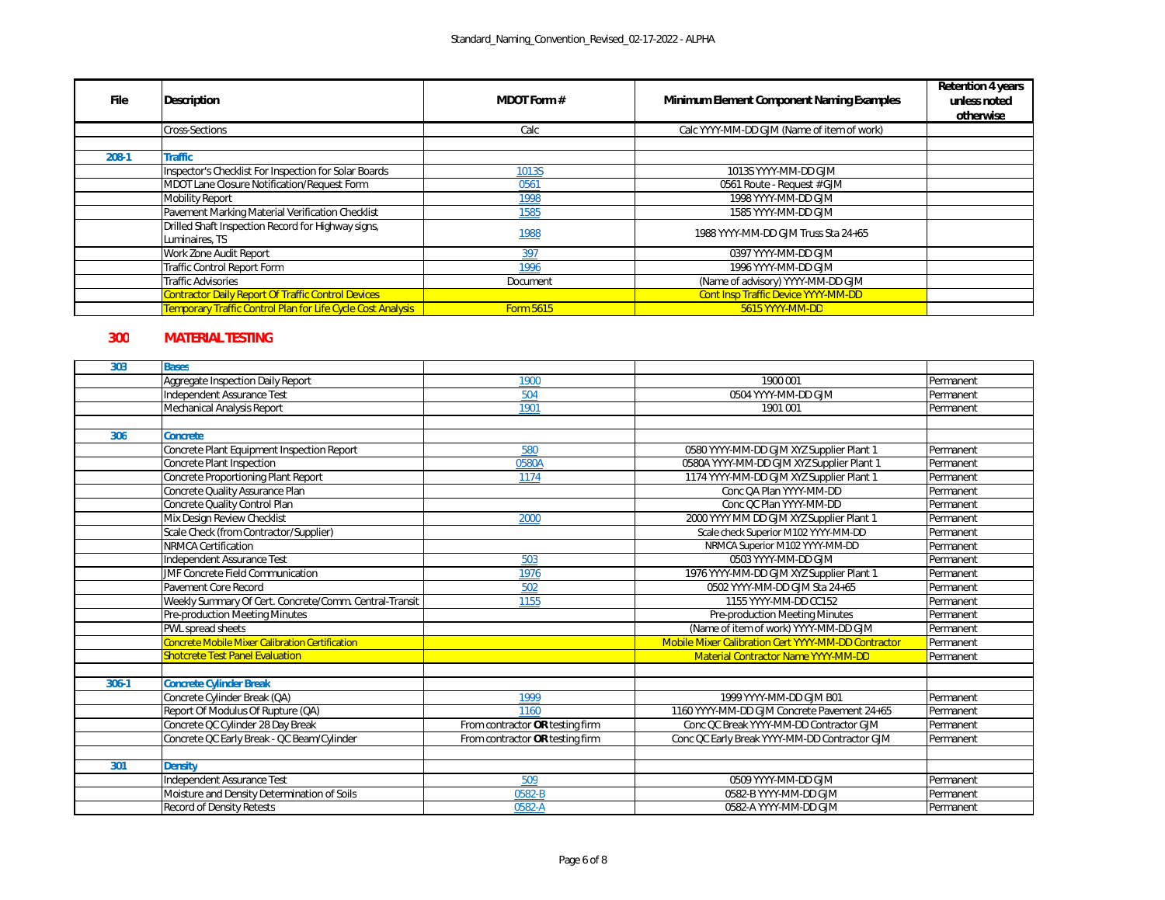| <b>File</b> | <b>Description</b>                                                   | <b>MDOT Form #</b> | <b>Minimum Element Component Naming Examples</b> | <b>Retention 4 years</b><br>unless noted<br>otherwise |
|-------------|----------------------------------------------------------------------|--------------------|--------------------------------------------------|-------------------------------------------------------|
|             | Cross-Sections                                                       | Calc               | Calc YYYY-MM-DD GJM (Name of item of work)       |                                                       |
|             |                                                                      |                    |                                                  |                                                       |
| $208-1$     | Traffic                                                              |                    |                                                  |                                                       |
|             | Inspector's Checklist For Inspection for Solar Boards                | 1013S              | 1013S YYYY-MM-DD GJM                             |                                                       |
|             | MDOT Lane Closure Notification/Request Form                          | 0561               | 0561 Route - Request # GJM                       |                                                       |
|             | <b>Mobility Report</b>                                               | 1998               | 1998 YYYY-MM-DD GJM                              |                                                       |
|             | Pavement Marking Material Verification Checklist                     | 1585               | 1585 YYYY-MM-DD GJM                              |                                                       |
|             | Drilled Shaft Inspection Record for Highway signs,<br>Luminaires, TS | 1988               | 1988 YYYY-MM-DD GJM Truss Sta 24+65              |                                                       |
|             | Work Zone Audit Report                                               | 397                | 0397 YYYY-MM-DD GJM                              |                                                       |
|             | Traffic Control Report Form                                          | 1996               | 1996 YYYY-MM-DD GJM                              |                                                       |
|             | Traffic Advisories                                                   | Document           | (Name of advisory) YYYY-MM-DD GJM                |                                                       |
|             | <b>Contractor Daily Report Of Traffic Control Devices</b>            |                    | <b>Cont Insp Traffic Device YYYY-MM-DD</b>       |                                                       |
|             | <b>Temporary Traffic Control Plan for Life Cycle Cost Analysis</b>   | <b>Form 5615</b>   | 5615 YYYY-MM-DD                                  |                                                       |

## **300 MATERIAL TESTING**

| 303     | <b>Bases</b>                                           |                                 |                                                     |           |
|---------|--------------------------------------------------------|---------------------------------|-----------------------------------------------------|-----------|
|         | Aggregate Inspection Daily Report                      | 1900                            | 1900 001                                            | Permanent |
|         | Independent Assurance Test                             | 504                             | 0504 YYYY-MM-DD GJM                                 | Permanent |
|         | Mechanical Analysis Report                             | 1901                            | 1901 001                                            | Permanent |
|         |                                                        |                                 |                                                     |           |
| 306     | <b>Concrete</b>                                        |                                 |                                                     |           |
|         | Concrete Plant Equipment Inspection Report             | 580                             | 0580 YYYY-MM-DD GJM XYZ Supplier Plant 1            | Permanent |
|         | Concrete Plant Inspection                              | 0580A                           | 0580A YYYY-MM-DD GJM XYZ Supplier Plant 1           | Permanent |
|         | Concrete Proportioning Plant Report                    | 1174                            | 1174 YYYY-MM-DD GJM XYZ Supplier Plant 1            | Permanent |
|         | Concrete Quality Assurance Plan                        |                                 | Conc QA Plan YYYY-MM-DD                             | Permanent |
|         | Concrete Quality Control Plan                          |                                 | Conc QC Plan YYYY-MM-DD                             | Permanent |
|         | Mix Design Review Checklist                            | 2000                            | 2000 YYYY MM DD GJM XYZ Supplier Plant 1            | Permanent |
|         | Scale Check (from Contractor/Supplier)                 |                                 | Scale check Superior M102 YYYY-MM-DD                | Permanent |
|         | <b>NRMCA Certification</b>                             |                                 | NRMCA Superior M102 YYYY-MM-DD                      | Permanent |
|         | Independent Assurance Test                             | 503                             | 0503 YYYY-MM-DD GJM                                 | Permanent |
|         | <b>JMF Concrete Field Communication</b>                | 1976                            | 1976 YYYY-MM-DD GJM XYZ Supplier Plant 1            | Permanent |
|         | Pavement Core Record                                   | 502                             | 0502 YYYY-MM-DD GJM Sta 24+65                       | Permanent |
|         | Weekly Summary Of Cert. Concrete/Comm. Central-Transit | 1155                            | 1155 YYYY-MM-DD CC152                               | Permanent |
|         | <b>Pre-production Meeting Minutes</b>                  |                                 | <b>Pre-production Meeting Minutes</b>               | Permanent |
|         | PWL spread sheets                                      |                                 | (Name of item of work) YYYY-MM-DD GJM               | Permanent |
|         | <b>Concrete Mobile Mixer Calibration Certification</b> |                                 | Mobile Mixer Calibration Cert YYYY-MM-DD Contractor | Permanent |
|         | <b>Shotcrete Test Panel Evaluation</b>                 |                                 | <b>Material Contractor Name YYYY-MM-DD</b>          | Permanent |
|         |                                                        |                                 |                                                     |           |
| $306-1$ | <b>Concrete Cylinder Break</b>                         |                                 |                                                     |           |
|         | Concrete Cylinder Break (QA)                           | 1999                            | 1999 YYYY-MM-DD GJM B01                             | Permanent |
|         | Report Of Modulus Of Rupture (QA)                      | 1160                            | 1160 YYYY-MM-DD GJM Concrete Pavement 24+65         | Permanent |
|         | Concrete QC Cylinder 28 Day Break                      | From contractor OR testing firm | Conc QC Break YYYY-MM-DD Contractor GJM             | Permanent |
|         | Concrete QC Early Break - QC Beam/Cylinder             | From contractor OR testing firm | Conc QC Early Break YYYY-MM-DD Contractor GJM       | Permanent |
|         |                                                        |                                 |                                                     |           |
| 301     | <b>Density</b>                                         |                                 |                                                     |           |
|         | Independent Assurance Test                             | 509                             | 0509 YYYY-MM-DD GJM                                 | Permanent |
|         | Moisture and Density Determination of Soils            | 0582-B                          | 0582-B YYYY-MM-DD GJM                               | Permanent |
|         | <b>Record of Density Retests</b>                       | 0582-A                          | 0582-A YYYY-MM-DD GJM                               | Permanent |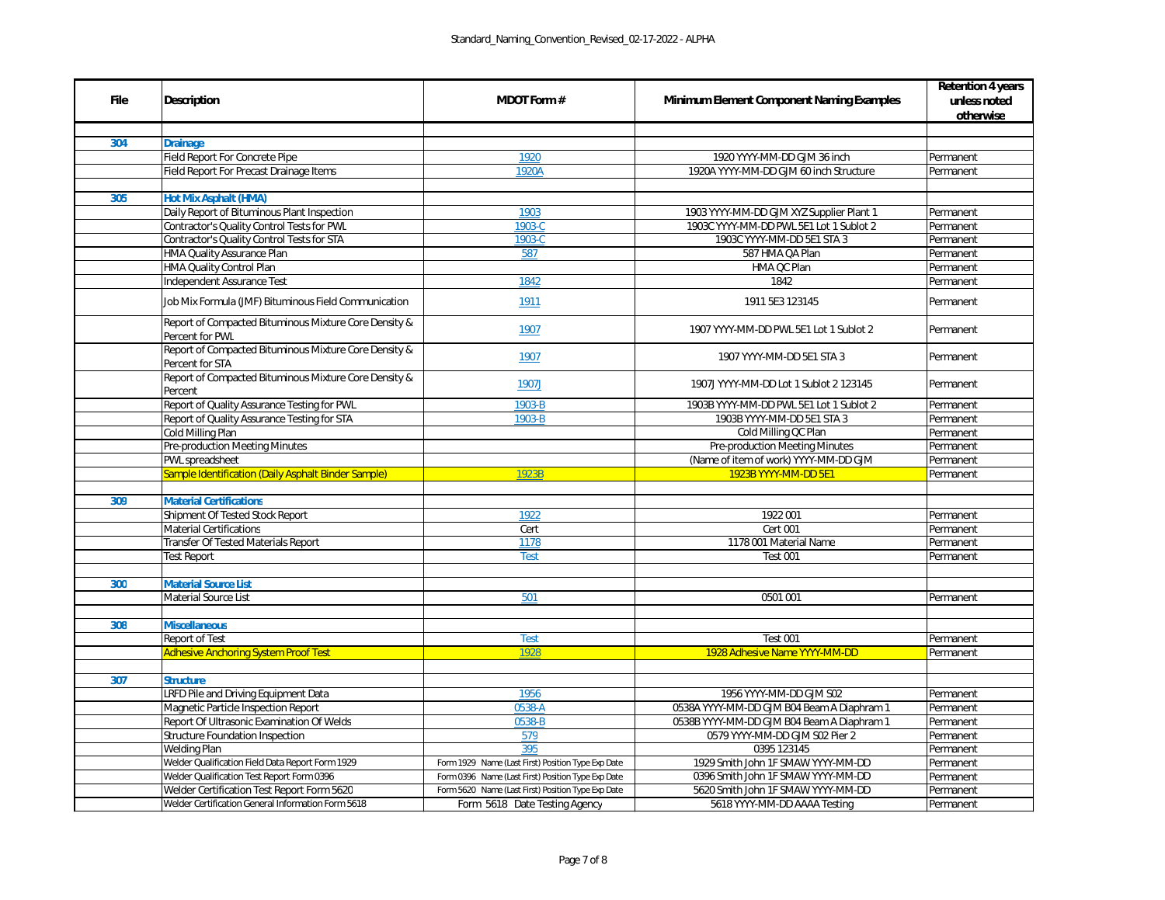|             |                                                                          |                                                    |                                                  | <b>Retention 4 years</b> |
|-------------|--------------------------------------------------------------------------|----------------------------------------------------|--------------------------------------------------|--------------------------|
| <b>File</b> | <b>Description</b>                                                       | <b>MDOT Form #</b>                                 | <b>Minimum Element Component Naming Examples</b> | unless noted             |
|             |                                                                          |                                                    |                                                  | otherwise                |
| 304         | <b>Drainage</b>                                                          |                                                    |                                                  |                          |
|             | <b>Field Report For Concrete Pipe</b>                                    | 1920                                               | 1920 YYYY-MM-DD GJM 36 inch                      | Permanent                |
|             | Field Report For Precast Drainage Items                                  | 1920A                                              | 1920A YYYY-MM-DD GJM 60 inch Structure           | Permanent                |
|             |                                                                          |                                                    |                                                  |                          |
| 305         | <b>Hot Mix Asphalt (HMA)</b>                                             |                                                    |                                                  |                          |
|             | Daily Report of Bituminous Plant Inspection                              | 1903                                               | 1903 YYYY-MM-DD GJM XYZ Supplier Plant 1         | Permanent                |
|             | Contractor's Quality Control Tests for PWL                               | 1903-C                                             | 1903C YYYY-MM-DD PWL 5E1 Lot 1 Sublot 2          | Permanent                |
|             | Contractor's Quality Control Tests for STA                               |                                                    | 1903C YYYY-MM-DD 5E1 STA 3                       | Permanent                |
|             |                                                                          | 1903-C                                             | 587 HMA QA Plan                                  |                          |
|             | HMA Quality Assurance Plan                                               | 587                                                |                                                  | Permanent                |
|             | HMA Quality Control Plan                                                 |                                                    | HMA QC Plan                                      | Permanent                |
|             | Independent Assurance Test                                               | 1842                                               | 1842                                             | Permanent                |
|             | Job Mix Formula (JMF) Bituminous Field Communication                     | 1911                                               | 1911 5E3 123145                                  | Permanent                |
|             | Report of Compacted Bituminous Mixture Core Density &<br>Percent for PWL | 1907                                               | 1907 YYYY-MM-DD PWL 5E1 Lot 1 Sublot 2           | Permanent                |
|             | Report of Compacted Bituminous Mixture Core Density &<br>Percent for STA | 1907                                               | 1907 YYYY-MM-DD 5E1 STA 3                        | Permanent                |
|             | Report of Compacted Bituminous Mixture Core Density &<br>Percent         | 1907J                                              | 1907J YYYY-MM-DD Lot 1 Sublot 2 123145           | Permanent                |
|             | Report of Quality Assurance Testing for PWL                              | 1903-B                                             | 1903B YYYY-MM-DD PWL 5E1 Lot 1 Sublot 2          | Permanent                |
|             | Report of Quality Assurance Testing for STA                              | 1903-B                                             | 1903B YYYY-MM-DD 5E1 STA 3                       | Permanent                |
|             | Cold Milling Plan                                                        |                                                    | Cold Milling QC Plan                             | Permanent                |
|             | <b>Pre-production Meeting Minutes</b>                                    |                                                    | <b>Pre-production Meeting Minutes</b>            | Permanent                |
|             | PWL spreadsheet                                                          |                                                    | (Name of item of work) YYYY-MM-DD GJM            | Permanent                |
|             | <b>Sample Identification (Daily Asphalt Binder Sample)</b>               | 1923B                                              | 1923B YYYY-MM-DD 5E1                             | Permanent                |
|             |                                                                          |                                                    |                                                  |                          |
| 309         | <b>Material Certifications</b>                                           |                                                    |                                                  |                          |
|             | Shipment Of Tested Stock Report                                          | 1922                                               | 1922 001                                         | Permanent                |
|             | <b>Material Certifications</b>                                           | Cert                                               | <b>Cert 001</b>                                  | Permanent                |
|             | <b>Transfer Of Tested Materials Report</b>                               | 1178                                               | 1178 001 Material Name                           | Permanent                |
|             | <b>Test Report</b>                                                       | <b>Test</b>                                        | <b>Test 001</b>                                  | Permanent                |
|             |                                                                          |                                                    |                                                  |                          |
| 300         | <b>Material Source List</b>                                              |                                                    |                                                  |                          |
|             | <b>Material Source List</b>                                              | 501                                                | 0501 001                                         | Permanent                |
|             |                                                                          |                                                    |                                                  |                          |
| 308         | <b>Miscellaneous</b>                                                     |                                                    |                                                  |                          |
|             | <b>Report of Test</b>                                                    | <b>Test</b>                                        | <b>Test 001</b>                                  | Permanent                |
|             | <b>Adhesive Anchoring System Proof Test</b>                              | 1928                                               | 1928 Adhesive Name YYYY-MM-DD                    | Permanent                |
|             |                                                                          |                                                    |                                                  |                          |
| 307         | <b>Structure</b>                                                         |                                                    |                                                  |                          |
|             | LRFD Pile and Driving Equipment Data                                     | 1956                                               | 1956 YYYY-MM-DD GJM S02                          | Permanent                |
|             | Magnetic Particle Inspection Report                                      | 0538-A                                             | 0538A YYYY-MM-DD GJM B04 Beam A Diaphram 1       | Permanent                |
|             | <b>Report Of Ultrasonic Examination Of Welds</b>                         | 0538-B                                             | 0538B YYYY-MM-DD GJM B04 Beam A Diaphram 1       | Permanent                |
|             | <b>Structure Foundation Inspection</b>                                   | 579                                                | 0579 YYYY-MM-DD GJM S02 Pier 2                   | Permanent                |
|             | <b>Welding Plan</b>                                                      | 395                                                | 0395 123145                                      | Permanent                |
|             | Welder Qualification Field Data Report Form 1929                         | Form 1929 Name (Last First) Position Type Exp Date | 1929 Smith John 1F SMAW YYYY-MM-DD               | Permanent                |
|             | Welder Qualification Test Report Form 0396                               | Form 0396 Name (Last First) Position Type Exp Date | 0396 Smith John 1F SMAW YYYY-MM-DD               | Permanent                |
|             | Welder Certification Test Report Form 5620                               | Form 5620 Name (Last First) Position Type Exp Date | 5620 Smith John 1F SMAW YYYY-MM-DD               | Permanent                |
|             | Welder Certification General Information Form 5618                       | Form 5618 Date Testing Agency                      | 5618 YYYY-MM-DD AAAA Testing                     | Permanent                |
|             |                                                                          |                                                    |                                                  |                          |